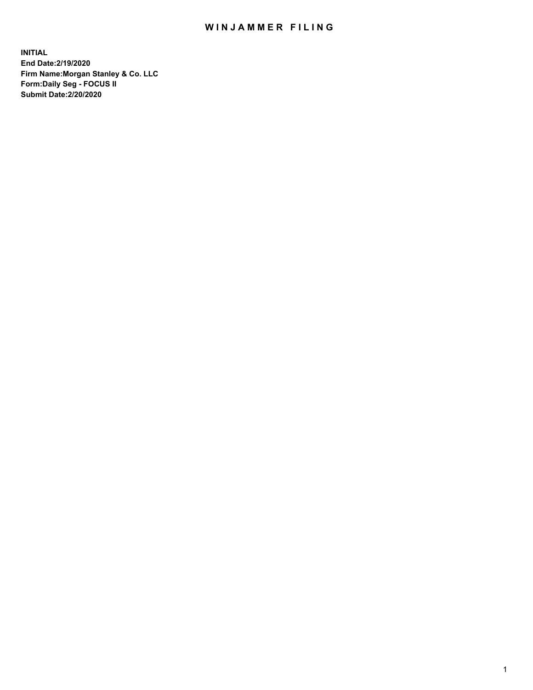## WIN JAMMER FILING

**INITIAL End Date:2/19/2020 Firm Name:Morgan Stanley & Co. LLC Form:Daily Seg - FOCUS II Submit Date:2/20/2020**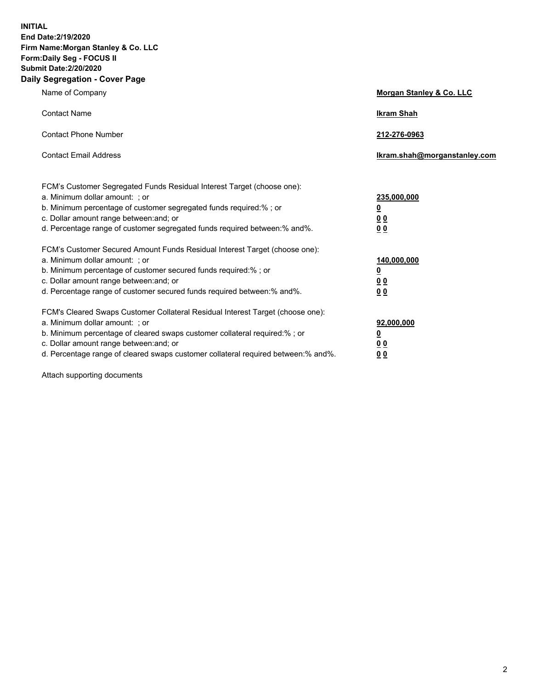**INITIAL End Date:2/19/2020 Firm Name:Morgan Stanley & Co. LLC Form:Daily Seg - FOCUS II Submit Date:2/20/2020 Daily Segregation - Cover Page**

| Name of Company                                                                                                                                                                                                                                                                                                                | Morgan Stanley & Co. LLC                               |
|--------------------------------------------------------------------------------------------------------------------------------------------------------------------------------------------------------------------------------------------------------------------------------------------------------------------------------|--------------------------------------------------------|
| <b>Contact Name</b>                                                                                                                                                                                                                                                                                                            | <b>Ikram Shah</b>                                      |
| <b>Contact Phone Number</b>                                                                                                                                                                                                                                                                                                    | 212-276-0963                                           |
| <b>Contact Email Address</b>                                                                                                                                                                                                                                                                                                   | Ikram.shah@morganstanley.com                           |
| FCM's Customer Segregated Funds Residual Interest Target (choose one):<br>a. Minimum dollar amount: ; or<br>b. Minimum percentage of customer segregated funds required:% ; or<br>c. Dollar amount range between: and; or<br>d. Percentage range of customer segregated funds required between:% and%.                         | 235,000,000<br><u>0</u><br>0 <sup>0</sup><br><u>00</u> |
| FCM's Customer Secured Amount Funds Residual Interest Target (choose one):<br>a. Minimum dollar amount: ; or<br>b. Minimum percentage of customer secured funds required:% ; or<br>c. Dollar amount range between: and; or<br>d. Percentage range of customer secured funds required between:% and%.                           | 140,000,000<br><u>0</u><br>0 <sub>0</sub><br>00        |
| FCM's Cleared Swaps Customer Collateral Residual Interest Target (choose one):<br>a. Minimum dollar amount: ; or<br>b. Minimum percentage of cleared swaps customer collateral required:% ; or<br>c. Dollar amount range between: and; or<br>d. Percentage range of cleared swaps customer collateral required between:% and%. | 92,000,000<br><u>0</u><br><u>00</u><br>00              |

Attach supporting documents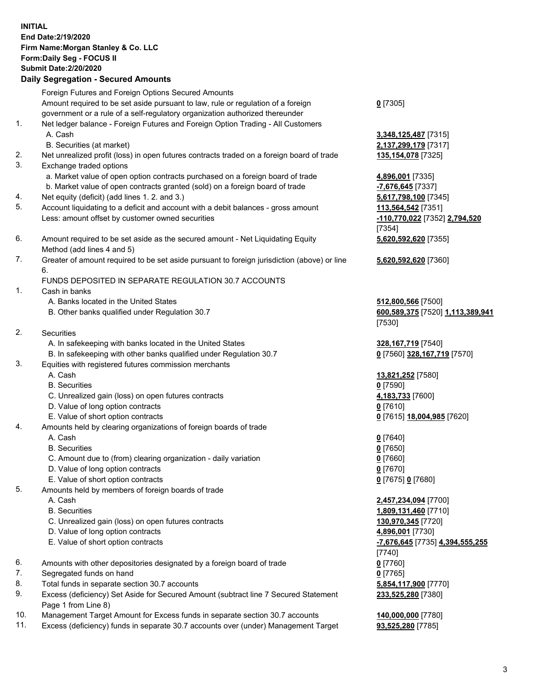## **INITIAL End Date:2/19/2020 Firm Name:Morgan Stanley & Co. LLC Form:Daily Seg - FOCUS II Submit Date:2/20/2020 Daily Segregation - Secured Amounts** Foreign Futures and Foreign Options Secured Amounts Amount required to be set aside pursuant to law, rule or regulation of a foreign government or a rule of a self-regulatory organization authorized thereunder 1. Net ledger balance - Foreign Futures and Foreign Option Trading - All Customers A. Cash **3,348,125,487** [7315] B. Securities (at market) **2,137,299,179** [7317] 2. Net unrealized profit (loss) in open futures contracts traded on a foreign board of trade **135,154,078** [7325] 3. Exchange traded options a. Market value of open option contracts purchased on a foreign board of trade **4,896,001** [7335] b. Market value of open contracts granted (sold) on a foreign board of trade **-7,676,645** [7337] 4. Net equity (deficit) (add lines 1. 2. and 3.) **5,617,798,100** [7345] 5. Account liquidating to a deficit and account with a debit balances - gross amount **113,564,542** [7351] Less: amount offset by customer owned securities **-110,770,022** [7352] **2,794,520** 6. Amount required to be set aside as the secured amount - Net Liquidating Equity Method (add lines 4 and 5) 7. Greater of amount required to be set aside pursuant to foreign jurisdiction (above) or line 6. FUNDS DEPOSITED IN SEPARATE REGULATION 30.7 ACCOUNTS 1. Cash in banks A. Banks located in the United States **512,800,566** [7500] B. Other banks qualified under Regulation 30.7 **600,589,375** [7520] **1,113,389,941** 2. Securities A. In safekeeping with banks located in the United States **328,167,719** [7540] B. In safekeeping with other banks qualified under Regulation 30.7 **0** [7560] **328,167,719** [7570] 3. Equities with registered futures commission merchants A. Cash **13,821,252** [7580] B. Securities **0** [7590] C. Unrealized gain (loss) on open futures contracts **4,183,733** [7600] D. Value of long option contracts **0** [7610] E. Value of short option contracts **0** [7615] **18,004,985** [7620] 4. Amounts held by clearing organizations of foreign boards of trade A. Cash **0** [7640] B. Securities **0** [7650] C. Amount due to (from) clearing organization - daily variation **0** [7660] D. Value of long option contracts **0** [7670] E. Value of short option contracts **0** [7675] **0** [7680] 5. Amounts held by members of foreign boards of trade A. Cash **2,457,234,094** [7700] B. Securities **1,809,131,460** [7710] C. Unrealized gain (loss) on open futures contracts **130,970,345** [7720] D. Value of long option contracts **4,896,001** [7730] E. Value of short option contracts **-7,676,645** [7735] **4,394,555,255**

- 6. Amounts with other depositories designated by a foreign board of trade **0** [7760]
- 7. Segregated funds on hand **0** [7765]
- 8. Total funds in separate section 30.7 accounts **5,854,117,900** [7770]
- 9. Excess (deficiency) Set Aside for Secured Amount (subtract line 7 Secured Statement Page 1 from Line 8)
- 10. Management Target Amount for Excess funds in separate section 30.7 accounts **140,000,000** [7780]
- 11. Excess (deficiency) funds in separate 30.7 accounts over (under) Management Target **93,525,280** [7785]

**0** [7305]

[7354] **5,620,592,620** [7355]

**5,620,592,620** [7360]

[7530]

[7740] **233,525,280** [7380]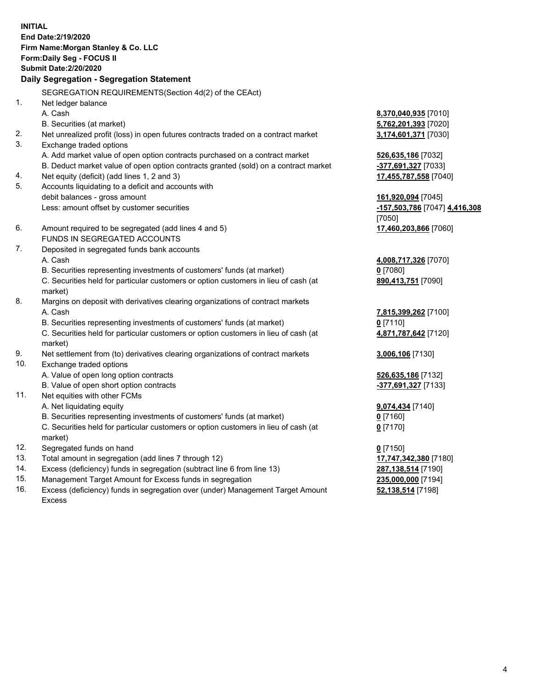**INITIAL End Date:2/19/2020 Firm Name:Morgan Stanley & Co. LLC Form:Daily Seg - FOCUS II Submit Date:2/20/2020 Daily Segregation - Segregation Statement** SEGREGATION REQUIREMENTS(Section 4d(2) of the CEAct) 1. Net ledger balance A. Cash **8,370,040,935** [7010] B. Securities (at market) **5,762,201,393** [7020] 2. Net unrealized profit (loss) in open futures contracts traded on a contract market **3,174,601,371** [7030] 3. Exchange traded options A. Add market value of open option contracts purchased on a contract market **526,635,186** [7032] B. Deduct market value of open option contracts granted (sold) on a contract market **-377,691,327** [7033] 4. Net equity (deficit) (add lines 1, 2 and 3) **17,455,787,558** [7040] 5. Accounts liquidating to a deficit and accounts with debit balances - gross amount **161,920,094** [7045] Less: amount offset by customer securities **-157,503,786** [7047] **4,416,308** [7050] 6. Amount required to be segregated (add lines 4 and 5) **17,460,203,866** [7060] FUNDS IN SEGREGATED ACCOUNTS 7. Deposited in segregated funds bank accounts A. Cash **4,008,717,326** [7070] B. Securities representing investments of customers' funds (at market) **0** [7080] C. Securities held for particular customers or option customers in lieu of cash (at market) **890,413,751** [7090] 8. Margins on deposit with derivatives clearing organizations of contract markets A. Cash **7,815,399,262** [7100] B. Securities representing investments of customers' funds (at market) **0** [7110] C. Securities held for particular customers or option customers in lieu of cash (at market) **4,871,787,642** [7120] 9. Net settlement from (to) derivatives clearing organizations of contract markets **3,006,106** [7130] 10. Exchange traded options A. Value of open long option contracts **526,635,186** [7132] B. Value of open short option contracts **and the set of our of the set of our of the set of our of the set of the set of the set of the set of the set of the set of the set of the set of the set of the set of the set of th** 11. Net equities with other FCMs A. Net liquidating equity **9,074,434** [7140] B. Securities representing investments of customers' funds (at market) **0** [7160] C. Securities held for particular customers or option customers in lieu of cash (at market) **0** [7170] 12. Segregated funds on hand **0** [7150] 13. Total amount in segregation (add lines 7 through 12) **17,747,342,380** [7180] 14. Excess (deficiency) funds in segregation (subtract line 6 from line 13) **287,138,514** [7190]

- 15. Management Target Amount for Excess funds in segregation **235,000,000** [7194]
- 16. Excess (deficiency) funds in segregation over (under) Management Target Amount Excess

**52,138,514** [7198]